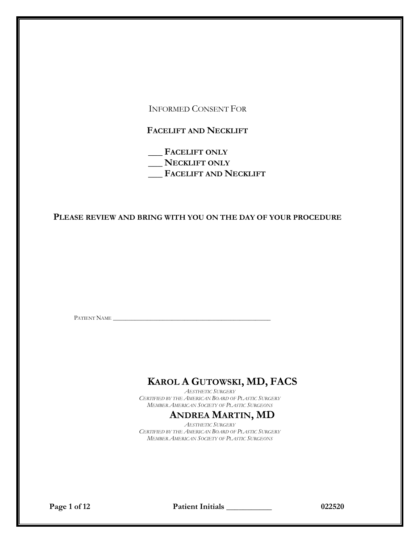INFORMED CONSENT FOR

## **FACELIFT AND NECKLIFT**

**\_\_\_ FACELIFT ONLY \_\_\_ NECKLIFT ONLY \_\_\_ FACELIFT AND NECKLIFT**

## **PLEASE REVIEW AND BRING WITH YOU ON THE DAY OF YOUR PROCEDURE**

PATIENT NAME \_\_\_\_\_\_\_\_\_\_\_\_\_\_\_\_\_\_\_\_\_\_\_\_\_\_\_\_\_\_\_\_\_\_\_\_\_\_\_\_\_\_\_\_\_\_\_\_\_\_\_

# **KAROL A GUTOWSKI, MD, FACS**

*AESTHETIC SURGERY CERTIFIED BY THE AMERICAN BOARD OF PLASTIC SURGERY MEMBER AMERICAN SOCIETY OF PLASTIC SURGEONS*

# **ANDREA MARTIN, MD**

*AESTHETIC SURGERY CERTIFIED BY THE AMERICAN BOARD OF PLASTIC SURGERY MEMBER AMERICAN SOCIETY OF PLASTIC SURGEONS*

**Page 1 of 12 Patient Initials \_\_\_\_\_\_\_\_\_\_\_ 022520**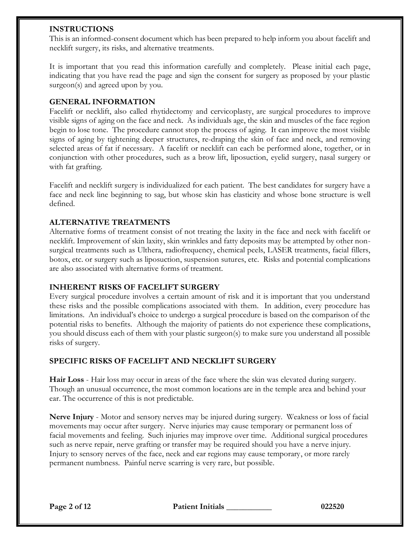## **INSTRUCTIONS**

This is an informed-consent document which has been prepared to help inform you about facelift and necklift surgery, its risks, and alternative treatments.

It is important that you read this information carefully and completely. Please initial each page, indicating that you have read the page and sign the consent for surgery as proposed by your plastic surgeon(s) and agreed upon by you.

## **GENERAL INFORMATION**

Facelift or necklift, also called rhytidectomy and cervicoplasty, are surgical procedures to improve visible signs of aging on the face and neck. As individuals age, the skin and muscles of the face region begin to lose tone. The procedure cannot stop the process of aging. It can improve the most visible signs of aging by tightening deeper structures, re-draping the skin of face and neck, and removing selected areas of fat if necessary. A facelift or necklift can each be performed alone, together, or in conjunction with other procedures, such as a brow lift, liposuction, eyelid surgery, nasal surgery or with fat grafting.

Facelift and necklift surgery is individualized for each patient. The best candidates for surgery have a face and neck line beginning to sag, but whose skin has elasticity and whose bone structure is well defined.

# **ALTERNATIVE TREATMENTS**

Alternative forms of treatment consist of not treating the laxity in the face and neck with facelift or necklift. Improvement of skin laxity, skin wrinkles and fatty deposits may be attempted by other nonsurgical treatments such as Ulthera, radiofrequency, chemical peels, LASER treatments, facial fillers, botox, etc. or surgery such as liposuction, suspension sutures, etc. Risks and potential complications are also associated with alternative forms of treatment.

## **INHERENT RISKS OF FACELIFT SURGERY**

Every surgical procedure involves a certain amount of risk and it is important that you understand these risks and the possible complications associated with them. In addition, every procedure has limitations. An individual's choice to undergo a surgical procedure is based on the comparison of the potential risks to benefits. Although the majority of patients do not experience these complications, you should discuss each of them with your plastic surgeon(s) to make sure you understand all possible risks of surgery.

# **SPECIFIC RISKS OF FACELIFT AND NECKLIFT SURGERY**

**Hair Loss** - Hair loss may occur in areas of the face where the skin was elevated during surgery. Though an unusual occurrence, the most common locations are in the temple area and behind your ear. The occurrence of this is not predictable.

**Nerve Injury** - Motor and sensory nerves may be injured during surgery. Weakness or loss of facial movements may occur after surgery. Nerve injuries may cause temporary or permanent loss of facial movements and feeling. Such injuries may improve over time. Additional surgical procedures such as nerve repair, nerve grafting or transfer may be required should you have a nerve injury. Injury to sensory nerves of the face, neck and ear regions may cause temporary, or more rarely permanent numbness. Painful nerve scarring is very rare, but possible.

**Page 2 of 12 Patient Initials \_\_\_\_\_\_\_\_\_\_\_ 022520**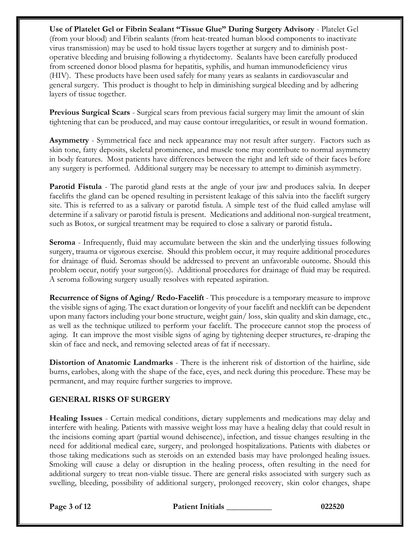**Use of Platelet Gel or Fibrin Sealant "Tissue Glue" During Surgery Advisory** - Platelet Gel (from your blood) and Fibrin sealants (from heat-treated human blood components to inactivate virus transmission) may be used to hold tissue layers together at surgery and to diminish postoperative bleeding and bruising following a rhytidectomy. Sealants have been carefully produced from screened donor blood plasma for hepatitis, syphilis, and human immunodeficiency virus (HIV). These products have been used safely for many years as sealants in cardiovascular and general surgery. This product is thought to help in diminishing surgical bleeding and by adhering layers of tissue together.

**Previous Surgical Scars** - Surgical scars from previous facial surgery may limit the amount of skin tightening that can be produced, and may cause contour irregularities, or result in wound formation.

**Asymmetry** - Symmetrical face and neck appearance may not result after surgery. Factors such as skin tone, fatty deposits, skeletal prominence, and muscle tone may contribute to normal asymmetry in body features. Most patients have differences between the right and left side of their faces before any surgery is performed. Additional surgery may be necessary to attempt to diminish asymmetry.

**Parotid Fistula** - The parotid gland rests at the angle of your jaw and produces salvia. In deeper facelifts the gland can be opened resulting in persistent leakage of this salvia into the facelift surgery site. This is referred to as a salivary or parotid fistula. A simple test of the fluid called amylase will determine if a salivary or parotid fistula is present. Medications and additional non-surgical treatment, such as Botox, or surgical treatment may be required to close a salivary or parotid fistula**.** 

**Seroma** - Infrequently, fluid may accumulate between the skin and the underlying tissues following surgery, trauma or vigorous exercise. Should this problem occur, it may require additional procedures for drainage of fluid. Seromas should be addressed to prevent an unfavorable outcome. Should this problem occur, notify your surgeon(s). Additional procedures for drainage of fluid may be required. A seroma following surgery usually resolves with repeated aspiration.

**Recurrence of Signs of Aging/ Redo-Facelift** - This procedure is a temporary measure to improve the visible signs of aging. The exact duration or longevity of your facelift and necklift can be dependent upon many factors including your bone structure, weight gain/ loss, skin quality and skin damage, etc., as well as the technique utilized to perform your facelift. The procecure cannot stop the process of aging. It can improve the most visible signs of aging by tightening deeper structures, re-draping the skin of face and neck, and removing selected areas of fat if necessary.

**Distortion of Anatomic Landmarks** - There is the inherent risk of distortion of the hairline, side burns, earlobes, along with the shape of the face, eyes, and neck during this procedure. These may be permanent, and may require further surgeries to improve.

# **GENERAL RISKS OF SURGERY**

**Healing Issues** - Certain medical conditions, dietary supplements and medications may delay and interfere with healing. Patients with massive weight loss may have a healing delay that could result in the incisions coming apart (partial wound dehiscence), infection, and tissue changes resulting in the need for additional medical care, surgery, and prolonged hospitalizations. Patients with diabetes or those taking medications such as steroids on an extended basis may have prolonged healing issues. Smoking will cause a delay or disruption in the healing process, often resulting in the need for additional surgery to treat non-viable tissue. There are general risks associated with surgery such as swelling, bleeding, possibility of additional surgery, prolonged recovery, skin color changes, shape

**Page 3 of 12 Patient Initials \_\_\_\_\_\_\_\_\_\_\_ 022520**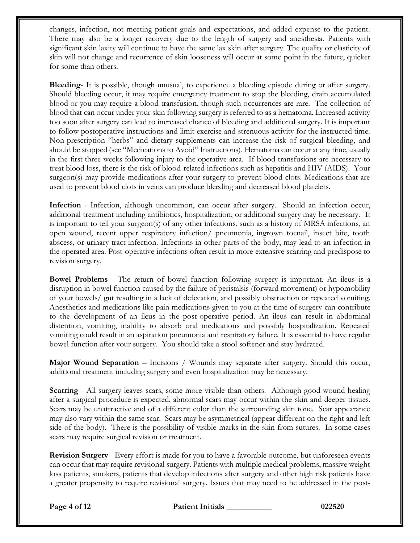changes, infection, not meeting patient goals and expectations, and added expense to the patient. There may also be a longer recovery due to the length of surgery and anesthesia. Patients with significant skin laxity will continue to have the same lax skin after surgery. The quality or elasticity of skin will not change and recurrence of skin looseness will occur at some point in the future, quicker for some than others.

**Bleeding**- It is possible, though unusual, to experience a bleeding episode during or after surgery. Should bleeding occur, it may require emergency treatment to stop the bleeding, drain accumulated blood or you may require a blood transfusion, though such occurrences are rare. The collection of blood that can occur under your skin following surgery is referred to as a hematoma. Increased activity too soon after surgery can lead to increased chance of bleeding and additional surgery. It is important to follow postoperative instructions and limit exercise and strenuous activity for the instructed time. Non-prescription "herbs" and dietary supplements can increase the risk of surgical bleeding, and should be stopped (see "Medications to Avoid" Instructions). Hematoma can occur at any time, usually in the first three weeks following injury to the operative area. If blood transfusions are necessary to treat blood loss, there is the risk of blood-related infections such as hepatitis and HIV (AIDS). Your surgeon(s) may provide medications after your surgery to prevent blood clots. Medications that are used to prevent blood clots in veins can produce bleeding and decreased blood platelets.

**Infection** - Infection, although uncommon, can occur after surgery. Should an infection occur, additional treatment including antibiotics, hospitalization, or additional surgery may be necessary. It is important to tell your surgeon(s) of any other infections, such as a history of MRSA infections, an open wound, recent upper respiratory infection/ pneumonia, ingrown toenail, insect bite, tooth abscess, or urinary tract infection. Infections in other parts of the body, may lead to an infection in the operated area. Post-operative infections often result in more extensive scarring and predispose to revision surgery.

**Bowel Problems** - The return of bowel function following surgery is important. An ileus is a disruption in bowel function caused by the failure of peristalsis (forward movement) or hypomobility of your bowels/ gut resulting in a lack of defecation, and possibly obstruction or repeated vomiting. Anesthetics and medications like pain medications given to you at the time of surgery can contribute to the development of an ileus in the post-operative period. An ileus can result in abdominal distention, vomiting, inability to absorb oral medications and possibly hospitalization. Repeated vomiting could result in an aspiration pneumonia and respiratory failure. It is essential to have regular bowel function after your surgery. You should take a stool softener and stay hydrated.

**Major Wound Separation** – Incisions / Wounds may separate after surgery. Should this occur, additional treatment including surgery and even hospitalization may be necessary.

**Scarring** - All surgery leaves scars, some more visible than others. Although good wound healing after a surgical procedure is expected, abnormal scars may occur within the skin and deeper tissues. Scars may be unattractive and of a different color than the surrounding skin tone. Scar appearance may also vary within the same scar. Scars may be asymmetrical (appear different on the right and left side of the body). There is the possibility of visible marks in the skin from sutures. In some cases scars may require surgical revision or treatment.

**Revision Surgery** - Every effort is made for you to have a favorable outcome, but unforeseen events can occur that may require revisional surgery. Patients with multiple medical problems, massive weight loss patients, smokers, patients that develop infections after surgery and other high risk patients have a greater propensity to require revisional surgery. Issues that may need to be addressed in the post-

**Page 4 of 12 Patient Initials \_\_\_\_\_\_\_\_\_\_\_ 022520**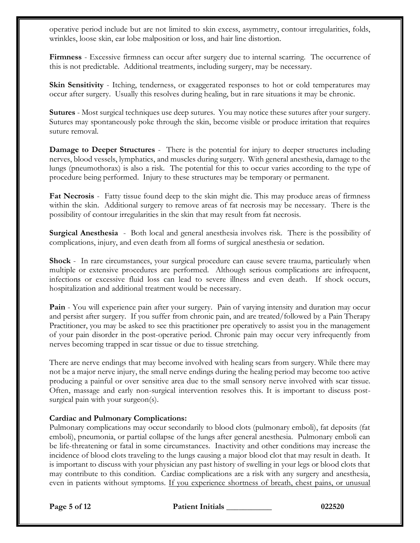operative period include but are not limited to skin excess, asymmetry, contour irregularities, folds, wrinkles, loose skin, ear lobe malposition or loss, and hair line distortion.

**Firmness** - Excessive firmness can occur after surgery due to internal scarring. The occurrence of this is not predictable. Additional treatments, including surgery, may be necessary.

**Skin Sensitivity** - Itching, tenderness, or exaggerated responses to hot or cold temperatures may occur after surgery. Usually this resolves during healing, but in rare situations it may be chronic.

**Sutures** - Most surgical techniques use deep sutures. You may notice these sutures after your surgery. Sutures may spontaneously poke through the skin, become visible or produce irritation that requires suture removal.

**Damage to Deeper Structures** - There is the potential for injury to deeper structures including nerves, blood vessels, lymphatics, and muscles during surgery. With general anesthesia, damage to the lungs (pneumothorax) is also a risk. The potential for this to occur varies according to the type of procedure being performed. Injury to these structures may be temporary or permanent.

**Fat Necrosis** - Fatty tissue found deep to the skin might die. This may produce areas of firmness within the skin. Additional surgery to remove areas of fat necrosis may be necessary. There is the possibility of contour irregularities in the skin that may result from fat necrosis.

**Surgical Anesthesia** - Both local and general anesthesia involves risk. There is the possibility of complications, injury, and even death from all forms of surgical anesthesia or sedation.

**Shock** - In rare circumstances, your surgical procedure can cause severe trauma, particularly when multiple or extensive procedures are performed. Although serious complications are infrequent, infections or excessive fluid loss can lead to severe illness and even death. If shock occurs, hospitalization and additional treatment would be necessary.

**Pain** - You will experience pain after your surgery. Pain of varying intensity and duration may occur and persist after surgery. If you suffer from chronic pain, and are treated/followed by a Pain Therapy Practitioner, you may be asked to see this practitioner pre operatively to assist you in the management of your pain disorder in the post-operative period. Chronic pain may occur very infrequently from nerves becoming trapped in scar tissue or due to tissue stretching.

There are nerve endings that may become involved with healing scars from surgery. While there may not be a major nerve injury, the small nerve endings during the healing period may become too active producing a painful or over sensitive area due to the small sensory nerve involved with scar tissue. Often, massage and early non-surgical intervention resolves this. It is important to discuss postsurgical pain with your surgeon(s).

## **Cardiac and Pulmonary Complications:**

Pulmonary complications may occur secondarily to blood clots (pulmonary emboli), fat deposits (fat emboli), pneumonia, or partial collapse of the lungs after general anesthesia. Pulmonary emboli can be life-threatening or fatal in some circumstances. Inactivity and other conditions may increase the incidence of blood clots traveling to the lungs causing a major blood clot that may result in death. It is important to discuss with your physician any past history of swelling in your legs or blood clots that may contribute to this condition. Cardiac complications are a risk with any surgery and anesthesia, even in patients without symptoms. If you experience shortness of breath, chest pains, or unusual

**Page 5 of 12 Patient Initials \_\_\_\_\_\_\_\_\_\_\_ 022520**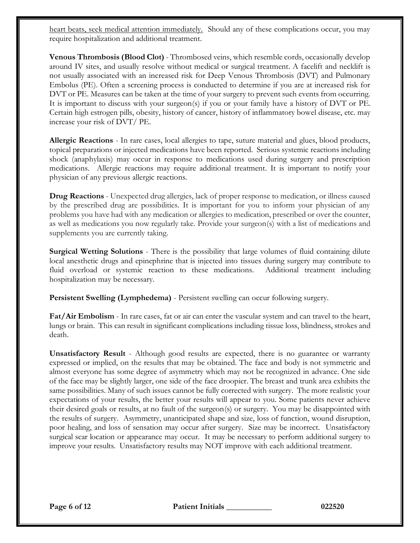heart beats, seek medical attention immediately. Should any of these complications occur, you may require hospitalization and additional treatment.

**Venous Thrombosis (Blood Clot)** - Thrombosed veins, which resemble cords, occasionally develop around IV sites, and usually resolve without medical or surgical treatment. A facelift and necklift is not usually associated with an increased risk for Deep Venous Thrombosis (DVT) and Pulmonary Embolus (PE). Often a screening process is conducted to determine if you are at increased risk for DVT or PE. Measures can be taken at the time of your surgery to prevent such events from occurring. It is important to discuss with your surgeon(s) if you or your family have a history of DVT or PE. Certain high estrogen pills, obesity, history of cancer, history of inflammatory bowel disease, etc. may increase your risk of DVT/ PE.

**Allergic Reactions** - In rare cases, local allergies to tape, suture material and glues, blood products, topical preparations or injected medications have been reported. Serious systemic reactions including shock (anaphylaxis) may occur in response to medications used during surgery and prescription medications. Allergic reactions may require additional treatment. It is important to notify your physician of any previous allergic reactions.

**Drug Reactions** - Unexpected drug allergies, lack of proper response to medication, or illness caused by the prescribed drug are possibilities. It is important for you to inform your physician of any problems you have had with any medication or allergies to medication, prescribed or over the counter, as well as medications you now regularly take. Provide your surgeon(s) with a list of medications and supplements you are currently taking.

**Surgical Wetting Solutions** - There is the possibility that large volumes of fluid containing dilute local anesthetic drugs and epinephrine that is injected into tissues during surgery may contribute to fluid overload or systemic reaction to these medications. Additional treatment including hospitalization may be necessary.

**Persistent Swelling (Lymphedema)** - Persistent swelling can occur following surgery.

**Fat/Air Embolism** - In rare cases, fat or air can enter the vascular system and can travel to the heart, lungs or brain. This can result in significant complications including tissue loss, blindness, strokes and death.

**Unsatisfactory Result** - Although good results are expected, there is no guarantee or warranty expressed or implied, on the results that may be obtained. The face and body is not symmetric and almost everyone has some degree of asymmetry which may not be recognized in advance. One side of the face may be slightly larger, one side of the face droopier. The breast and trunk area exhibits the same possibilities. Many of such issues cannot be fully corrected with surgery. The more realistic your expectations of your results, the better your results will appear to you. Some patients never achieve their desired goals or results, at no fault of the surgeon(s) or surgery. You may be disappointed with the results of surgery. Asymmetry, unanticipated shape and size, loss of function, wound disruption, poor healing, and loss of sensation may occur after surgery. Size may be incorrect. Unsatisfactory surgical scar location or appearance may occur. It may be necessary to perform additional surgery to improve your results. Unsatisfactory results may NOT improve with each additional treatment.

**Page 6 of 12 Patient Initials \_\_\_\_\_\_\_\_\_\_\_ 022520**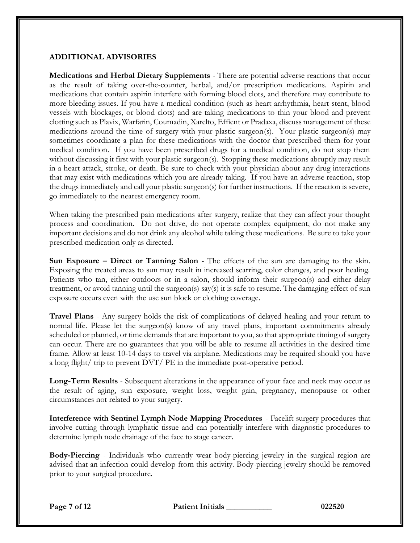### **ADDITIONAL ADVISORIES**

**Medications and Herbal Dietary Supplements** - There are potential adverse reactions that occur as the result of taking over-the-counter, herbal, and/or prescription medications. Aspirin and medications that contain aspirin interfere with forming blood clots, and therefore may contribute to more bleeding issues. If you have a medical condition (such as heart arrhythmia, heart stent, blood vessels with blockages, or blood clots) and are taking medications to thin your blood and prevent clotting such as Plavix, Warfarin, Coumadin, Xarelto, Effient or Pradaxa, discuss management of these medications around the time of surgery with your plastic surgeon(s). Your plastic surgeon(s) may sometimes coordinate a plan for these medications with the doctor that prescribed them for your medical condition. If you have been prescribed drugs for a medical condition, do not stop them without discussing it first with your plastic surgeon(s). Stopping these medications abruptly may result in a heart attack, stroke, or death. Be sure to check with your physician about any drug interactions that may exist with medications which you are already taking. If you have an adverse reaction, stop the drugs immediately and call your plastic surgeon(s) for further instructions. If the reaction is severe, go immediately to the nearest emergency room.

When taking the prescribed pain medications after surgery, realize that they can affect your thought process and coordination. Do not drive, do not operate complex equipment, do not make any important decisions and do not drink any alcohol while taking these medications. Be sure to take your prescribed medication only as directed.

**Sun Exposure – Direct or Tanning Salon** - The effects of the sun are damaging to the skin. Exposing the treated areas to sun may result in increased scarring, color changes, and poor healing. Patients who tan, either outdoors or in a salon, should inform their surgeon(s) and either delay treatment, or avoid tanning until the surgeon(s) say(s) it is safe to resume. The damaging effect of sun exposure occurs even with the use sun block or clothing coverage.

**Travel Plans** - Any surgery holds the risk of complications of delayed healing and your return to normal life. Please let the surgeon(s) know of any travel plans, important commitments already scheduled or planned, or time demands that are important to you, so that appropriate timing of surgery can occur. There are no guarantees that you will be able to resume all activities in the desired time frame. Allow at least 10-14 days to travel via airplane. Medications may be required should you have a long flight/ trip to prevent DVT/ PE in the immediate post-operative period.

**Long-Term Results** - Subsequent alterations in the appearance of your face and neck may occur as the result of aging, sun exposure, weight loss, weight gain, pregnancy, menopause or other circumstances not related to your surgery.

**Interference with Sentinel Lymph Node Mapping Procedures** - Facelift surgery procedures that involve cutting through lymphatic tissue and can potentially interfere with diagnostic procedures to determine lymph node drainage of the face to stage cancer.

**Body-Piercing** - Individuals who currently wear body-piercing jewelry in the surgical region are advised that an infection could develop from this activity. Body-piercing jewelry should be removed prior to your surgical procedure.

**Page 7 of 12 Patient Initials \_\_\_\_\_\_\_\_\_\_\_ 022520**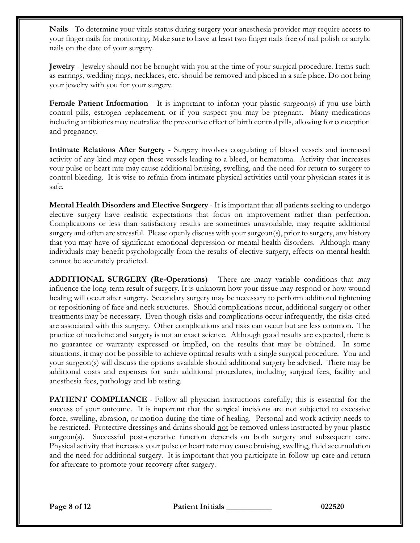**Nails** - To determine your vitals status during surgery your anesthesia provider may require access to your finger nails for monitoring. Make sure to have at least two finger nails free of nail polish or acrylic nails on the date of your surgery.

**Jewelry** - Jewelry should not be brought with you at the time of your surgical procedure. Items such as earrings, wedding rings, necklaces, etc. should be removed and placed in a safe place. Do not bring your jewelry with you for your surgery.

**Female Patient Information** - It is important to inform your plastic surgeon(s) if you use birth control pills, estrogen replacement, or if you suspect you may be pregnant. Many medications including antibiotics may neutralize the preventive effect of birth control pills, allowing for conception and pregnancy.

**Intimate Relations After Surgery** - Surgery involves coagulating of blood vessels and increased activity of any kind may open these vessels leading to a bleed, or hematoma. Activity that increases your pulse or heart rate may cause additional bruising, swelling, and the need for return to surgery to control bleeding. It is wise to refrain from intimate physical activities until your physician states it is safe.

**Mental Health Disorders and Elective Surgery** - It is important that all patients seeking to undergo elective surgery have realistic expectations that focus on improvement rather than perfection. Complications or less than satisfactory results are sometimes unavoidable, may require additional surgery and often are stressful. Please openly discuss with your surgeon(s), prior to surgery, any history that you may have of significant emotional depression or mental health disorders. Although many individuals may benefit psychologically from the results of elective surgery, effects on mental health cannot be accurately predicted.

**ADDITIONAL SURGERY (Re-Operations)** - There are many variable conditions that may influence the long-term result of surgery. It is unknown how your tissue may respond or how wound healing will occur after surgery. Secondary surgery may be necessary to perform additional tightening or repositioning of face and neck structures. Should complications occur, additional surgery or other treatments may be necessary. Even though risks and complications occur infrequently, the risks cited are associated with this surgery. Other complications and risks can occur but are less common. The practice of medicine and surgery is not an exact science. Although good results are expected, there is no guarantee or warranty expressed or implied, on the results that may be obtained. In some situations, it may not be possible to achieve optimal results with a single surgical procedure. You and your surgeon(s) will discuss the options available should additional surgery be advised. There may be additional costs and expenses for such additional procedures, including surgical fees, facility and anesthesia fees, pathology and lab testing.

**PATIENT COMPLIANCE** - Follow all physician instructions carefully; this is essential for the success of your outcome. It is important that the surgical incisions are not subjected to excessive force, swelling, abrasion, or motion during the time of healing. Personal and work activity needs to be restricted. Protective dressings and drains should not be removed unless instructed by your plastic surgeon(s). Successful post-operative function depends on both surgery and subsequent care. Physical activity that increases your pulse or heart rate may cause bruising, swelling, fluid accumulation and the need for additional surgery. It is important that you participate in follow-up care and return for aftercare to promote your recovery after surgery.

**Page 8 of 12 Patient Initials \_\_\_\_\_\_\_\_\_\_\_ 022520**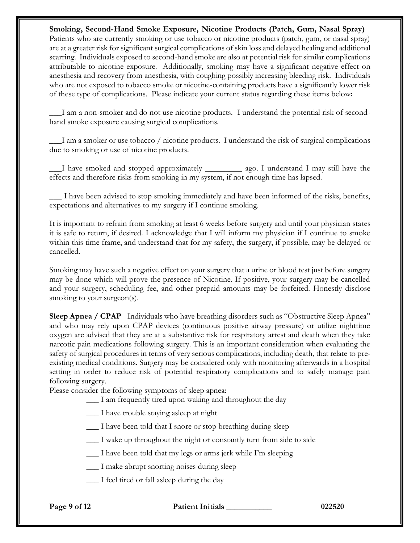**Smoking, Second-Hand Smoke Exposure, Nicotine Products (Patch, Gum, Nasal Spray)** - Patients who are currently smoking or use tobacco or nicotine products (patch, gum, or nasal spray) are at a greater risk for significant surgical complications of skin loss and delayed healing and additional scarring. Individuals exposed to second-hand smoke are also at potential risk for similar complications attributable to nicotine exposure. Additionally, smoking may have a significant negative effect on anesthesia and recovery from anesthesia, with coughing possibly increasing bleeding risk. Individuals who are not exposed to tobacco smoke or nicotine-containing products have a significantly lower risk of these type of complications. Please indicate your current status regarding these items below**:**

**\_\_\_**I am a non-smoker and do not use nicotine products. I understand the potential risk of secondhand smoke exposure causing surgical complications.

**\_\_\_**I am a smoker or use tobacco / nicotine products. I understand the risk of surgical complications due to smoking or use of nicotine products.

**\_\_\_**I have smoked and stopped approximately \_\_\_\_\_\_\_\_\_ ago. I understand I may still have the effects and therefore risks from smoking in my system, if not enough time has lapsed.

\_\_\_ I have been advised to stop smoking immediately and have been informed of the risks, benefits, expectations and alternatives to my surgery if I continue smoking.

It is important to refrain from smoking at least 6 weeks before surgery and until your physician states it is safe to return, if desired. I acknowledge that I will inform my physician if I continue to smoke within this time frame, and understand that for my safety, the surgery, if possible, may be delayed or cancelled.

Smoking may have such a negative effect on your surgery that a urine or blood test just before surgery may be done which will prove the presence of Nicotine. If positive, your surgery may be cancelled and your surgery, scheduling fee, and other prepaid amounts may be forfeited. Honestly disclose smoking to your surgeon(s).

Sleep Apnea / CPAP - Individuals who have breathing disorders such as "Obstructive Sleep Apnea" and who may rely upon CPAP devices (continuous positive airway pressure) or utilize nighttime oxygen are advised that they are at a substantive risk for respiratory arrest and death when they take narcotic pain medications following surgery. This is an important consideration when evaluating the safety of surgical procedures in terms of very serious complications, including death, that relate to preexisting medical conditions. Surgery may be considered only with monitoring afterwards in a hospital setting in order to reduce risk of potential respiratory complications and to safely manage pain following surgery.

Please consider the following symptoms of sleep apnea:

- \_\_\_ I am frequently tired upon waking and throughout the day
- \_\_\_ I have trouble staying asleep at night
- \_\_\_ I have been told that I snore or stop breathing during sleep
- \_\_\_ I wake up throughout the night or constantly turn from side to side
- \_\_\_ I have been told that my legs or arms jerk while I'm sleeping
- \_\_\_ I make abrupt snorting noises during sleep
- \_\_\_ I feel tired or fall asleep during the day

**Page 9 of 12 Patient Initials \_\_\_\_\_\_\_\_\_\_\_ 022520**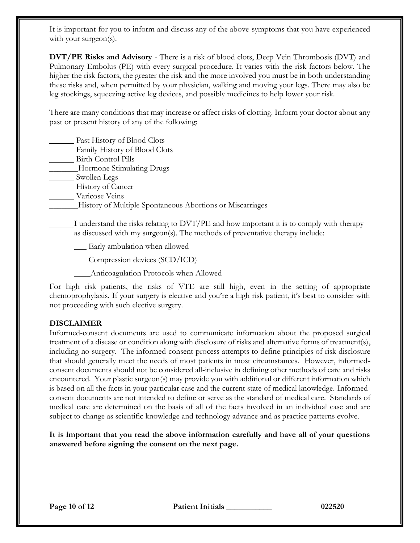It is important for you to inform and discuss any of the above symptoms that you have experienced with your surgeon(s).

**DVT/PE Risks and Advisory** - There is a risk of blood clots, Deep Vein Thrombosis (DVT) and Pulmonary Embolus (PE) with every surgical procedure. It varies with the risk factors below. The higher the risk factors, the greater the risk and the more involved you must be in both understanding these risks and, when permitted by your physician, walking and moving your legs. There may also be leg stockings, squeezing active leg devices, and possibly medicines to help lower your risk.

There are many conditions that may increase or affect risks of clotting. Inform your doctor about any past or present history of any of the following:

- Past History of Blood Clots
- Family History of Blood Clots
- Birth Control Pills
- \_\_\_\_\_\_\_Hormone Stimulating Drugs
- Swollen Legs
- **History of Cancer**
- Varicose Veins
	- \_\_\_\_\_\_\_History of Multiple Spontaneous Abortions or Miscarriages
		- I understand the risks relating to DVT/PE and how important it is to comply with therapy as discussed with my surgeon(s). The methods of preventative therapy include:
			- Early ambulation when allowed
			- Compression devices (SCD/ICD)
			- \_\_\_\_Anticoagulation Protocols when Allowed

For high risk patients, the risks of VTE are still high, even in the setting of appropriate chemoprophylaxis. If your surgery is elective and you're a high risk patient, it's best to consider with not proceeding with such elective surgery.

# **DISCLAIMER**

Informed-consent documents are used to communicate information about the proposed surgical treatment of a disease or condition along with disclosure of risks and alternative forms of treatment(s), including no surgery. The informed-consent process attempts to define principles of risk disclosure that should generally meet the needs of most patients in most circumstances. However, informedconsent documents should not be considered all-inclusive in defining other methods of care and risks encountered. Your plastic surgeon(s) may provide you with additional or different information which is based on all the facts in your particular case and the current state of medical knowledge. Informedconsent documents are not intended to define or serve as the standard of medical care. Standards of medical care are determined on the basis of all of the facts involved in an individual case and are subject to change as scientific knowledge and technology advance and as practice patterns evolve.

**It is important that you read the above information carefully and have all of your questions answered before signing the consent on the next page.**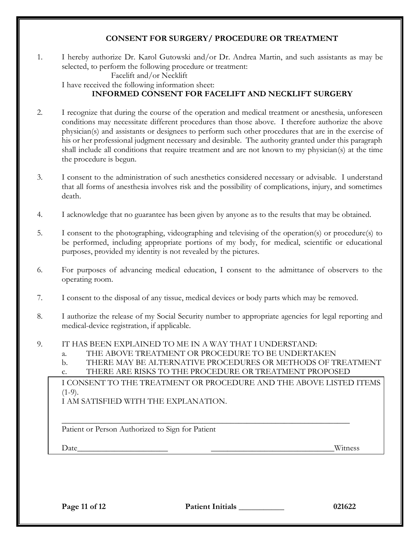## **CONSENT FOR SURGERY/ PROCEDURE OR TREATMENT**

1. I hereby authorize Dr. Karol Gutowski and/or Dr. Andrea Martin, and such assistants as may be selected, to perform the following procedure or treatment:

Facelift and/or Necklift

I have received the following information sheet:

## **INFORMED CONSENT FOR FACELIFT AND NECKLIFT SURGERY**

- 2. I recognize that during the course of the operation and medical treatment or anesthesia, unforeseen conditions may necessitate different procedures than those above. I therefore authorize the above physician(s) and assistants or designees to perform such other procedures that are in the exercise of his or her professional judgment necessary and desirable. The authority granted under this paragraph shall include all conditions that require treatment and are not known to my physician(s) at the time the procedure is begun.
- 3. I consent to the administration of such anesthetics considered necessary or advisable. I understand that all forms of anesthesia involves risk and the possibility of complications, injury, and sometimes death.
- 4. I acknowledge that no guarantee has been given by anyone as to the results that may be obtained.
- 5. I consent to the photographing, videographing and televising of the operation(s) or procedure(s) to be performed, including appropriate portions of my body, for medical, scientific or educational purposes, provided my identity is not revealed by the pictures.
- 6. For purposes of advancing medical education, I consent to the admittance of observers to the operating room.
- 7. I consent to the disposal of any tissue, medical devices or body parts which may be removed.
- 8. I authorize the release of my Social Security number to appropriate agencies for legal reporting and medical-device registration, if applicable.
- 9. IT HAS BEEN EXPLAINED TO ME IN A WAY THAT I UNDERSTAND:
	- a. THE ABOVE TREATMENT OR PROCEDURE TO BE UNDERTAKEN
	- b. THERE MAY BE ALTERNATIVE PROCEDURES OR METHODS OF TREATMENT
	- c. THERE ARE RISKS TO THE PROCEDURE OR TREATMENT PROPOSED

\_\_\_\_\_\_\_\_\_\_\_\_\_\_\_\_\_\_\_\_\_\_\_\_\_\_\_\_\_\_\_\_\_\_\_\_\_\_\_\_\_\_\_\_\_\_\_\_\_\_\_\_\_\_\_\_\_\_\_\_\_\_\_\_\_\_\_\_\_\_

I CONSENT TO THE TREATMENT OR PROCEDURE AND THE ABOVE LISTED ITEMS  $(1-9)$ .

I AM SATISFIED WITH THE EXPLANATION.

Patient or Person Authorized to Sign for Patient

Date\_\_\_\_\_\_\_\_\_\_\_\_\_\_\_\_\_\_\_\_\_\_ \_\_\_\_\_\_\_\_\_\_\_\_\_\_\_\_\_\_\_\_\_\_\_\_\_\_\_\_\_\_Witness

**Page 11 of 12 Patient Initials \_\_\_\_\_\_\_\_\_\_\_ 021622**